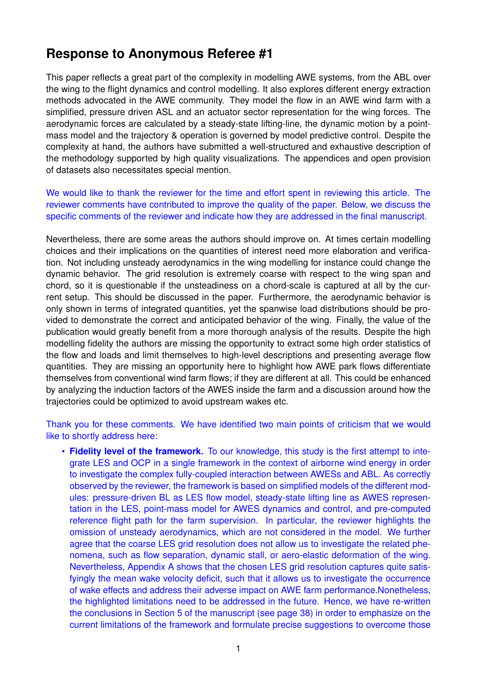## **Response to Anonymous Referee #1**

This paper reflects a great part of the complexity in modelling AWE systems, from the ABL over the wing to the flight dynamics and control modelling. It also explores different energy extraction methods advocated in the AWE community. They model the flow in an AWE wind farm with a simplified, pressure driven ASL and an actuator sector representation for the wing forces. The aerodynamic forces are calculated by a steady-state lifting-line, the dynamic motion by a pointmass model and the trajectory & operation is governed by model predictive control. Despite the complexity at hand, the authors have submitted a well-structured and exhaustive description of the methodology supported by high quality visualizations. The appendices and open provision of datasets also necessitates special mention.

We would like to thank the reviewer for the time and effort spent in reviewing this article. The reviewer comments have contributed to improve the quality of the paper. Below, we discuss the specific comments of the reviewer and indicate how they are addressed in the final manuscript.

Nevertheless, there are some areas the authors should improve on. At times certain modelling choices and their implications on the quantities of interest need more elaboration and verification. Not including unsteady aerodynamics in the wing modelling for instance could change the dynamic behavior. The grid resolution is extremely coarse with respect to the wing span and chord, so it is questionable if the unsteadiness on a chord-scale is captured at all by the current setup. This should be discussed in the paper. Furthermore, the aerodynamic behavior is only shown in terms of integrated quantities, yet the spanwise load distributions should be provided to demonstrate the correct and anticipated behavior of the wing. Finally, the value of the publication would greatly benefit from a more thorough analysis of the results. Despite the high modelling fidelity the authors are missing the opportunity to extract some high order statistics of the flow and loads and limit themselves to high-level descriptions and presenting average flow quantities. They are missing an opportunity here to highlight how AWE park flows differentiate themselves from conventional wind farm flows; if they are different at all. This could be enhanced by analyzing the induction factors of the AWES inside the farm and a discussion around how the trajectories could be optimized to avoid upstream wakes etc.

Thank you for these comments. We have identified two main points of criticism that we would like to shortly address here:

• **Fidelity level of the framework.** To our knowledge, this study is the first attempt to integrate LES and OCP in a single framework in the context of airborne wind energy in order to investigate the complex fully-coupled interaction between AWESs and ABL. As correctly observed by the reviewer, the framework is based on simplified models of the different modules: pressure-driven BL as LES flow model, steady-state lifting line as AWES representation in the LES, point-mass model for AWES dynamics and control, and pre-computed reference flight path for the farm supervision. In particular, the reviewer highlights the omission of unsteady aerodynamics, which are not considered in the model. We further agree that the coarse LES grid resolution does not allow us to investigate the related phenomena, such as flow separation, dynamic stall, or aero-elastic deformation of the wing. Nevertheless, Appendix A shows that the chosen LES grid resolution captures quite satisfyingly the mean wake velocity deficit, such that it allows us to investigate the occurrence of wake effects and address their adverse impact on AWE farm performance.Nonetheless, the highlighted limitations need to be addressed in the future. Hence, we have re-written the conclusions in Section 5 of the manuscript (see page 38) in order to emphasize on the current limitations of the framework and formulate precise suggestions to overcome those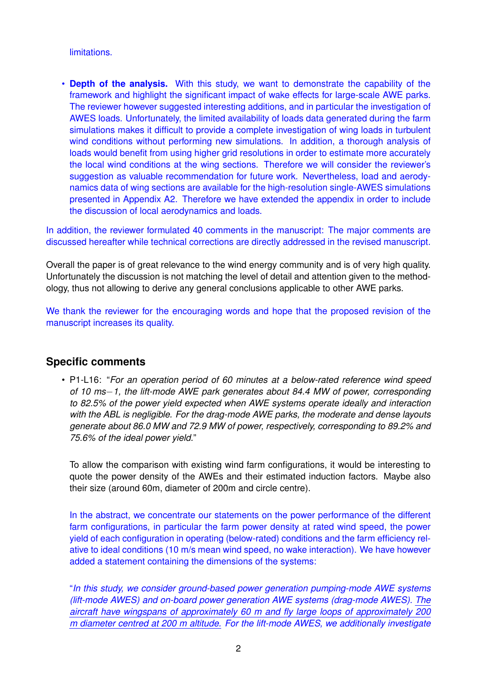limitations.

• **Depth of the analysis.** With this study, we want to demonstrate the capability of the framework and highlight the significant impact of wake effects for large-scale AWE parks. The reviewer however suggested interesting additions, and in particular the investigation of AWES loads. Unfortunately, the limited availability of loads data generated during the farm simulations makes it difficult to provide a complete investigation of wing loads in turbulent wind conditions without performing new simulations. In addition, a thorough analysis of loads would benefit from using higher grid resolutions in order to estimate more accurately the local wind conditions at the wing sections. Therefore we will consider the reviewer's suggestion as valuable recommendation for future work. Nevertheless, load and aerodynamics data of wing sections are available for the high-resolution single-AWES simulations presented in Appendix A2. Therefore we have extended the appendix in order to include the discussion of local aerodynamics and loads.

In addition, the reviewer formulated 40 comments in the manuscript: The major comments are discussed hereafter while technical corrections are directly addressed in the revised manuscript.

Overall the paper is of great relevance to the wind energy community and is of very high quality. Unfortunately the discussion is not matching the level of detail and attention given to the methodology, thus not allowing to derive any general conclusions applicable to other AWE parks.

We thank the reviewer for the encouraging words and hope that the proposed revision of the manuscript increases its quality.

## **Specific comments**

• P1-L16: "*For an operation period of 60 minutes at a below-rated reference wind speed of 10 ms*−*1, the lift-mode AWE park generates about 84.4 MW of power, corresponding to 82.5% of the power yield expected when AWE systems operate ideally and interaction with the ABL is negligible. For the drag-mode AWE parks, the moderate and dense layouts generate about 86.0 MW and 72.9 MW of power, respectively, corresponding to 89.2% and 75.6% of the ideal power yield.*"

To allow the comparison with existing wind farm configurations, it would be interesting to quote the power density of the AWEs and their estimated induction factors. Maybe also their size (around 60m, diameter of 200m and circle centre).

In the abstract, we concentrate our statements on the power performance of the different farm configurations, in particular the farm power density at rated wind speed, the power yield of each configuration in operating (below-rated) conditions and the farm efficiency relative to ideal conditions (10 m/s mean wind speed, no wake interaction). We have however added a statement containing the dimensions of the systems:

"*In this study, we consider ground-based power generation pumping-mode AWE systems (lift-mode AWES) and on-board power generation AWE systems (drag-mode AWES). The aircraft have wingspans of approximately 60 m and fly large loops of approximately 200 m diameter centred at 200 m altitude. For the lift-mode AWES, we additionally investigate*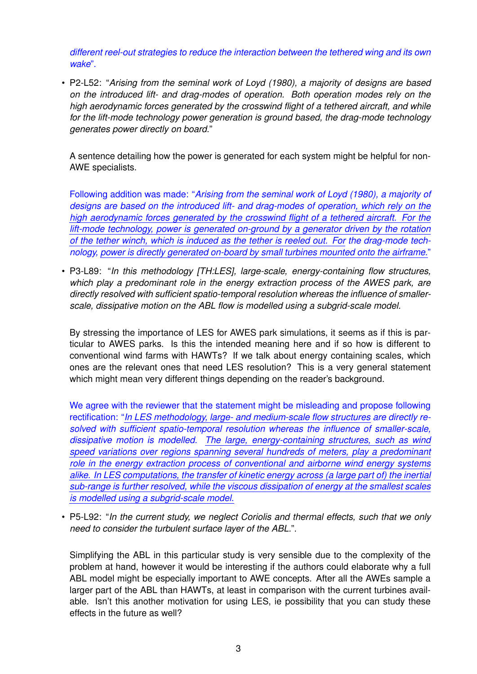*different reel-out strategies to reduce the interaction between the tethered wing and its own wake*".

• P2-L52: "*Arising from the seminal work of Loyd (1980), a majority of designs are based on the introduced lift- and drag-modes of operation. Both operation modes rely on the high aerodynamic forces generated by the crosswind flight of a tethered aircraft, and while for the lift-mode technology power generation is ground based, the drag-mode technology generates power directly on board.*"

A sentence detailing how the power is generated for each system might be helpful for non-AWE specialists.

Following addition was made: "*Arising from the seminal work of Loyd (1980), a majority of designs are based on the introduced lift- and drag-modes of operation, which rely on the high aerodynamic forces generated by the crosswind flight of a tethered aircraft. For the lift-mode technology, power is generated on-ground by a generator driven by the rotation of the tether winch, which is induced as the tether is reeled out. For the drag-mode technology, power is directly generated on-board by small turbines mounted onto the airframe.*"

• P3-L89: "*In this methodology [TH:LES], large-scale, energy-containing flow structures, which play a predominant role in the energy extraction process of the AWES park, are directly resolved with sufficient spatio-temporal resolution whereas the influence of smallerscale, dissipative motion on the ABL flow is modelled using a subgrid-scale model.*

By stressing the importance of LES for AWES park simulations, it seems as if this is particular to AWES parks. Is this the intended meaning here and if so how is different to conventional wind farms with HAWTs? If we talk about energy containing scales, which ones are the relevant ones that need LES resolution? This is a very general statement which might mean very different things depending on the reader's background.

We agree with the reviewer that the statement might be misleading and propose following rectification: "*In LES methodology, large- and medium-scale flow structures are directly resolved with sufficient spatio-temporal resolution whereas the influence of smaller-scale, dissipative motion is modelled. The large, energy-containing structures, such as wind speed variations over regions spanning several hundreds of meters, play a predominant role in the energy extraction process of conventional and airborne wind energy systems alike. In LES computations, the transfer of kinetic energy across (a large part of) the inertial sub-range is further resolved, while the viscous dissipation of energy at the smallest scales is modelled using a subgrid-scale model.*

• P5-L92: "*In the current study, we neglect Coriolis and thermal effects, such that we only need to consider the turbulent surface layer of the ABL.*".

Simplifying the ABL in this particular study is very sensible due to the complexity of the problem at hand, however it would be interesting if the authors could elaborate why a full ABL model might be especially important to AWE concepts. After all the AWEs sample a larger part of the ABL than HAWTs, at least in comparison with the current turbines available. Isn't this another motivation for using LES, ie possibility that you can study these effects in the future as well?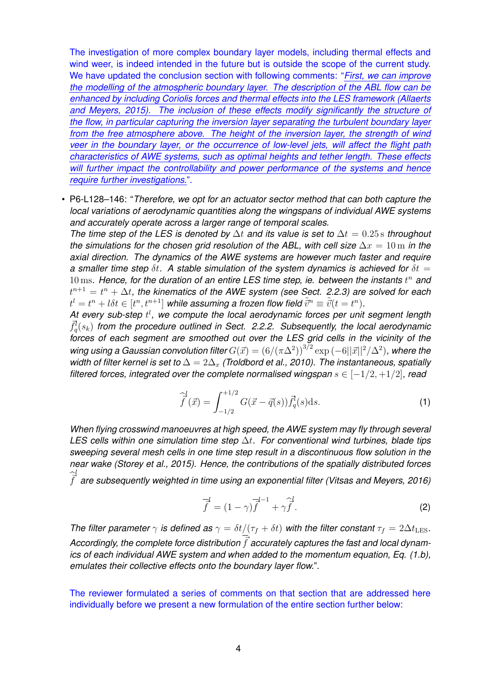The investigation of more complex boundary layer models, including thermal effects and wind weer, is indeed intended in the future but is outside the scope of the current study. We have updated the conclusion section with following comments: "*First, we can improve the modelling of the atmospheric boundary layer. The description of the ABL flow can be enhanced by including Coriolis forces and thermal effects into the LES framework (Allaerts and Meyers, 2015). The inclusion of these effects modify significantly the structure of the flow, in particular capturing the inversion layer separating the turbulent boundary layer from the free atmosphere above. The height of the inversion layer, the strength of wind veer in the boundary layer, or the occurrence of low-level jets, will affect the flight path characteristics of AWE systems, such as optimal heights and tether length. These effects will further impact the controllability and power performance of the systems and hence require further investigations.*".

• P6-L128–146: "*Therefore, we opt for an actuator sector method that can both capture the local variations of aerodynamic quantities along the wingspans of individual AWE systems and accurately operate across a larger range of temporal scales.*

*The time step of the LES is denoted by* ∆t *and its value is set to* ∆t = 0.25 s *throughout the simulations for the chosen grid resolution of the ABL, with cell size*  $\Delta x = 10 \,\text{m}$  *in the axial direction. The dynamics of the AWE systems are however much faster and require a smaller time step*  $\delta t$ . A stable simulation of the system dynamics is achieved for  $\delta t =$  $10 \text{ ms}$ . Hence, for the duration of an entire LES time step, ie. between the instants  $t^n$  and  $t^{n+1} = t^n + \Delta t$ , the kinematics of the AWE system (see Sect. 2.2.3) are solved for each  $t^l = t^n + l \delta t \in [t^n, t^{n+1}]$  while assuming a frozen flow field  $\tilde{\vec{v}}^n \equiv \tilde{\vec{v}}(t=t^n).$ 

At every sub-step  $t^l$ , we compute the local aerodynamic forces per unit segment length  $\vec{f}_q^l(s_k)$  from the procedure outlined in Sect. 2.2.2. Subsequently, the local aerodynamic *forces of each segment are smoothed out over the LES grid cells in the vicinity of the wing using a Gaussian convolution filter*  $G(\vec{x}) = (6/(\pi \Delta^2))^{3/2} \exp(-6||\vec{x}||^2/\Delta^2)$ , where the *width of filter kernel is set to*  $\Delta = 2\Delta_x$  *(Troldbord et al., 2010). The instantaneous, spatially filtered forces, integrated over the complete normalised wingspan*  $s \in [-1/2, +1/2]$ *, read* 

$$
\widehat{\vec{f}}^{\{d\}}(\vec{x}) = \int_{-1/2}^{+1/2} G(\vec{x} - \vec{q}(s)) \vec{f}_q^{\{d\}}(s) \, \mathrm{d}s. \tag{1}
$$

*When flying crosswind manoeuvres at high speed, the AWE system may fly through several LES cells within one simulation time step* ∆t*. For conventional wind turbines, blade tips sweeping several mesh cells in one time step result in a discontinuous flow solution in the near wake (Storey et al., 2015). Hence, the contributions of the spatially distributed forces*  $\hat{\vec{f}}$ *are subsequently weighted in time using an exponential filter (Vitsas and Meyers, 2016)*

$$
\overline{\overline{f}}^l = (1 - \gamma)\overline{\overline{f}}^{l-1} + \gamma \overline{\overline{f}}^l.
$$
 (2)

*The filter parameter*  $\gamma$  *is defined as*  $\gamma = \delta t/(\tau_f + \delta t)$  *with the filter constant*  $\tau_f = 2\Delta t_{\text{LES}}$ *.* Accordingly, the complete force distribution  $\vec{f}$  accurately captures the fast and local dynam*ics of each individual AWE system and when added to the momentum equation, Eq. (1.b), emulates their collective effects onto the boundary layer flow.*".

The reviewer formulated a series of comments on that section that are addressed here individually before we present a new formulation of the entire section further below: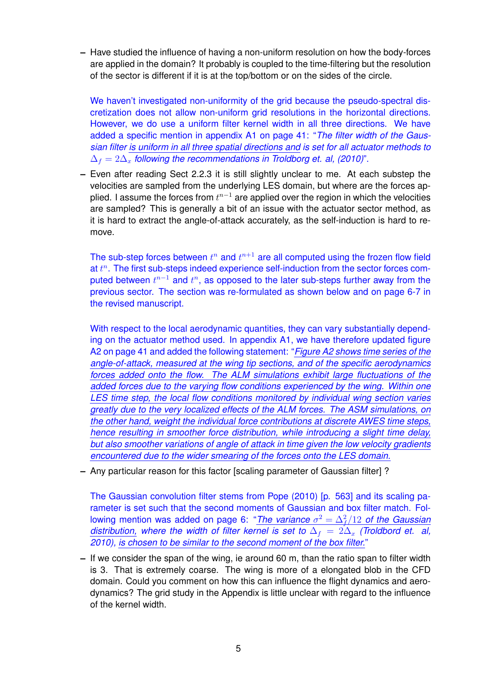**–** Have studied the influence of having a non-uniform resolution on how the body-forces are applied in the domain? It probably is coupled to the time-filtering but the resolution of the sector is different if it is at the top/bottom or on the sides of the circle.

We haven't investigated non-uniformity of the grid because the pseudo-spectral discretization does not allow non-uniform grid resolutions in the horizontal directions. However, we do use a uniform filter kernel width in all three directions. We have added a specific mention in appendix A1 on page 41: "*The filter width of the Gaussian filter is uniform in all three spatial directions and is set for all actuator methods to*  $\Delta_f = 2\Delta_x$  *following the recommendations in Troldborg et. al, (2010)*".

**–** Even after reading Sect 2.2.3 it is still slightly unclear to me. At each substep the velocities are sampled from the underlying LES domain, but where are the forces applied. I assume the forces from  $t^{n-1}$  are applied over the region in which the velocities are sampled? This is generally a bit of an issue with the actuator sector method, as it is hard to extract the angle-of-attack accurately, as the self-induction is hard to remove.

The sub-step forces between  $t^n$  and  $t^{n+1}$  are all computed using the frozen flow field at  $t^n$ . The first sub-steps indeed experience self-induction from the sector forces computed between  $t^{n-1}$  and  $t^n$ , as opposed to the later sub-steps further away from the previous sector. The section was re-formulated as shown below and on page 6-7 in the revised manuscript.

With respect to the local aerodynamic quantities, they can vary substantially depending on the actuator method used. In appendix A1, we have therefore updated figure A2 on page 41 and added the following statement: "*Figure A2 shows time series of the angle-of-attack, measured at the wing tip sections, and of the specific aerodynamics forces added onto the flow. The ALM simulations exhibit large fluctuations of the added forces due to the varying flow conditions experienced by the wing. Within one LES time step, the local flow conditions monitored by individual wing section varies greatly due to the very localized effects of the ALM forces. The ASM simulations, on the other hand, weight the individual force contributions at discrete AWES time steps, hence resulting in smoother force distribution, while introducing a slight time delay, but also smoother variations of angle of attack in time given the low velocity gradients encountered due to the wider smearing of the forces onto the LES domain.*

**–** Any particular reason for this factor [scaling parameter of Gaussian filter] ?

The Gaussian convolution filter stems from Pope (2010) [p. 563] and its scaling parameter is set such that the second moments of Gaussian and box filter match. Following mention was added on page 6: "The variance  $\sigma^2 = \Delta_f^2/12$  of the Gaussian *distribution, where the width of filter kernel is set to*  $\Delta_f = 2\Delta_x$  *(Troldbord et. al, 2010), is chosen to be similar to the second moment of the box filter.*"

**–** If we consider the span of the wing, ie around 60 m, than the ratio span to filter width is 3. That is extremely coarse. The wing is more of a elongated blob in the CFD domain. Could you comment on how this can influence the flight dynamics and aerodynamics? The grid study in the Appendix is little unclear with regard to the influence of the kernel width.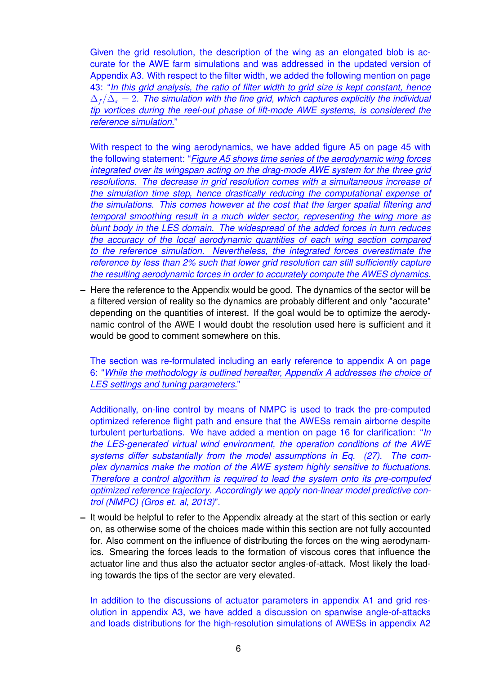Given the grid resolution, the description of the wing as an elongated blob is accurate for the AWE farm simulations and was addressed in the updated version of Appendix A3. With respect to the filter width, we added the following mention on page 43: "*In this grid analysis, the ratio of filter width to grid size is kept constant, hence*  $\Delta_f / \Delta_x = 2$ . The simulation with the fine grid, which captures explicitly the individual *tip vortices during the reel-out phase of lift-mode AWE systems, is considered the reference simulation.*"

With respect to the wing aerodynamics, we have added figure A5 on page 45 with the following statement: "*Figure A5 shows time series of the aerodynamic wing forces integrated over its wingspan acting on the drag-mode AWE system for the three grid resolutions. The decrease in grid resolution comes with a simultaneous increase of the simulation time step, hence drastically reducing the computational expense of the simulations. This comes however at the cost that the larger spatial filtering and temporal smoothing result in a much wider sector, representing the wing more as blunt body in the LES domain. The widespread of the added forces in turn reduces the accuracy of the local aerodynamic quantities of each wing section compared to the reference simulation. Nevertheless, the integrated forces overestimate the reference by less than 2% such that lower grid resolution can still sufficiently capture the resulting aerodynamic forces in order to accurately compute the AWES dynamics.*

**–** Here the reference to the Appendix would be good. The dynamics of the sector will be a filtered version of reality so the dynamics are probably different and only "accurate" depending on the quantities of interest. If the goal would be to optimize the aerodynamic control of the AWE I would doubt the resolution used here is sufficient and it would be good to comment somewhere on this.

The section was re-formulated including an early reference to appendix A on page 6: "*While the methodology is outlined hereafter, Appendix A addresses the choice of LES settings and tuning parameters.*"

Additionally, on-line control by means of NMPC is used to track the pre-computed optimized reference flight path and ensure that the AWESs remain airborne despite turbulent perturbations. We have added a mention on page 16 for clarification: "*In the LES-generated virtual wind environment, the operation conditions of the AWE systems differ substantially from the model assumptions in Eq. (27). The complex dynamics make the motion of the AWE system highly sensitive to fluctuations. Therefore a control algorithm is required to lead the system onto its pre-computed optimized reference trajectory. Accordingly we apply non-linear model predictive control (NMPC) (Gros et. al, 2013)*".

**–** It would be helpful to refer to the Appendix already at the start of this section or early on, as otherwise some of the choices made within this section are not fully accounted for. Also comment on the influence of distributing the forces on the wing aerodynamics. Smearing the forces leads to the formation of viscous cores that influence the actuator line and thus also the actuator sector angles-of-attack. Most likely the loading towards the tips of the sector are very elevated.

In addition to the discussions of actuator parameters in appendix A1 and grid resolution in appendix A3, we have added a discussion on spanwise angle-of-attacks and loads distributions for the high-resolution simulations of AWESs in appendix A2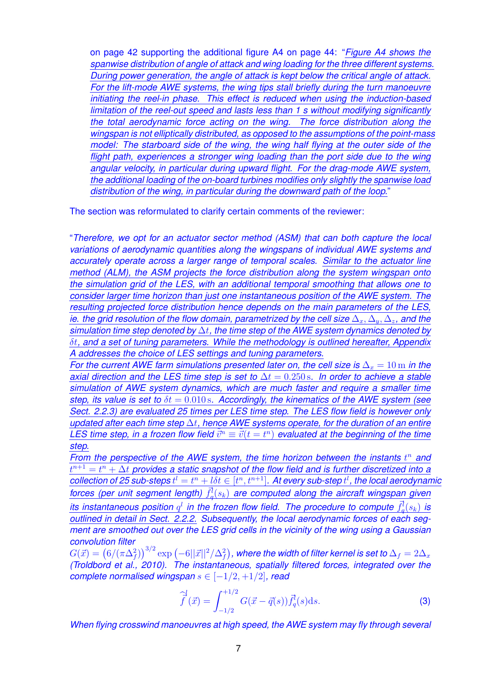on page 42 supporting the additional figure A4 on page 44: "*Figure A4 shows the spanwise distribution of angle of attack and wing loading for the three different systems. During power generation, the angle of attack is kept below the critical angle of attack. For the lift-mode AWE systems, the wing tips stall briefly during the turn manoeuvre initiating the reel-in phase. This effect is reduced when using the induction-based limitation of the reel-out speed and lasts less than 1 s without modifying significantly the total aerodynamic force acting on the wing. The force distribution along the wingspan is not elliptically distributed, as opposed to the assumptions of the point-mass model: The starboard side of the wing, the wing half flying at the outer side of the flight path, experiences a stronger wing loading than the port side due to the wing angular velocity, in particular during upward flight. For the drag-mode AWE system, the additional loading of the on-board turbines modifies only slightly the spanwise load distribution of the wing, in particular during the downward path of the loop.*"

The section was reformulated to clarify certain comments of the reviewer:

"*Therefore, we opt for an actuator sector method (ASM) that can both capture the local variations of aerodynamic quantities along the wingspans of individual AWE systems and accurately operate across a larger range of temporal scales. Similar to the actuator line method (ALM), the ASM projects the force distribution along the system wingspan onto the simulation grid of the LES, with an additional temporal smoothing that allows one to consider larger time horizon than just one instantaneous position of the AWE system. The resulting projected force distribution hence depends on the main parameters of the LES, ie. the grid resolution of the flow domain, parametrized by the cell size*  $\Delta_x, \Delta_y, \Delta_z$ *, and the simulation time step denoted by* ∆t*, the time step of the AWE system dynamics denoted by* δt*, and a set of tuning parameters. While the methodology is outlined hereafter, Appendix A addresses the choice of LES settings and tuning parameters.*

*For the current AWE farm simulations presented later on, the cell size is*  $\Delta_r = 10 \text{ m}$  *in the axial direction and the LES time step is set to*  $\Delta t = 0.250$  *s. In order to achieve a stable simulation of AWE system dynamics, which are much faster and require a smaller time step, its value is set to* δt = 0.010 s*. Accordingly, the kinematics of the AWE system (see Sect. 2.2.3) are evaluated 25 times per LES time step. The LES flow field is however only updated after each time step* ∆t*, hence AWE systems operate, for the duration of an entire LES time step, in a frozen flow field*  $\tilde{\vec{v}}^n \equiv \tilde{\vec{v}}(t = t^n)$  *evaluated at the beginning of the time step.*

*From* the perspective of the AWE system, the time horizon between the instants  $t^n$  and  $t^{n+1} = t^n + \Delta t$  provides a static snapshot of the flow field and is further discretized into a  $\textit{collection of 25 sub-steps } t^l = t^n + l \delta t \in [t^n, t^{n+1}]$ . At every sub-step  $t^l$ , the local aerodynamic *forces (per unit segment length)*  $\vec{f}_q^l(s_k)$  are computed along the aircraft wingspan given *its instantaneous position*  $q^l$  *in the frozen flow field. The procedure to compute*  $\bar{f}_q^l(s_k)$  *is outlined in detail in Sect. 2.2.2. Subsequently, the local aerodynamic forces of each segment are smoothed out over the LES grid cells in the vicinity of the wing using a Gaussian convolution filter*

 $G(\vec{x})=\big(6/(\pi\Delta_f^2)\big)^{3/2}\exp\big(-6||\vec{x}||^2/\Delta_f^2\big)$  , where the width of filter kernel is set to  $\Delta_f=2\Delta_x$ *(Troldbord et al., 2010). The instantaneous, spatially filtered forces, integrated over the complete normalised wingspan* s ∈ [−1/2, +1/2]*, read*

$$
\widehat{\vec{f}}^l(\vec{x}) = \int_{-1/2}^{+1/2} G(\vec{x} - \vec{q}(s)) \vec{f}_q^l(s) \, \mathrm{d}s. \tag{3}
$$

*When flying crosswind manoeuvres at high speed, the AWE system may fly through several*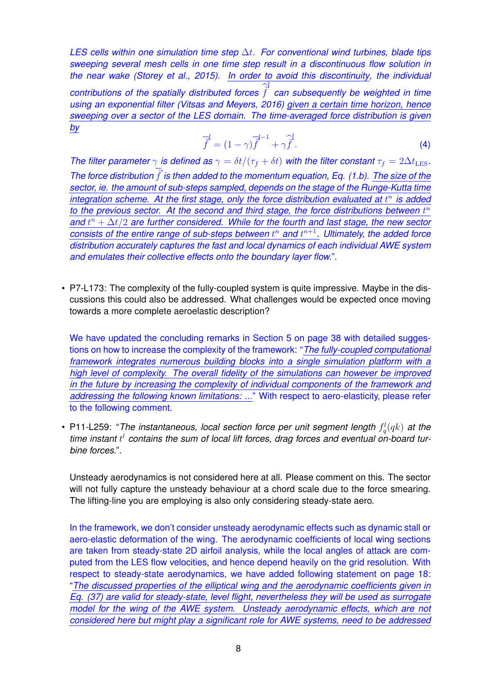*LES cells within one simulation time step* ∆t*. For conventional wind turbines, blade tips sweeping several mesh cells in one time step result in a discontinuous flow solution in the near wake (Storey et al., 2015). In order to avoid this discontinuity, the individual*  $\vec{f}$  contributions of the spatially distributed forces  $\hat{\vec{f}}$ *can subsequently be weighted in time using an exponential filter (Vitsas and Meyers, 2016) given a certain time horizon, hence sweeping over a sector of the LES domain. The time-averaged force distribution is given by*

$$
\overrightarrow{f} = (1 - \gamma)\overrightarrow{f}^{-1} + \gamma\overrightarrow{f}.
$$
\n(4)

*The filter parameter*  $\gamma$  *is defined as*  $\gamma = \delta t/(\tau_f + \delta t)$  *with the filter constant*  $\tau_f = 2\Delta t_{\text{LES}}$ *. The force distribution* f is then added to the momentum equation, Eq. (1.b). The size of the *sector, ie. the amount of sub-steps sampled, depends on the stage of the Runge-Kutta time integration scheme. At the first stage, only the force distribution evaluated at* t n *is added to the previous sector. At the second and third stage, the force distributions between* t n *and* t <sup>n</sup> + ∆t/2 *are further considered. While for the fourth and last stage, the new sector consists* of the entire range of sub-steps between  $t^n$  and  $t^{n+1}$ . Ultimately, the added force *distribution accurately captures the fast and local dynamics of each individual AWE system and emulates their collective effects onto the boundary layer flow.*".

• P7-L173: The complexity of the fully-coupled system is quite impressive. Maybe in the discussions this could also be addressed. What challenges would be expected once moving towards a more complete aeroelastic description?

We have updated the concluding remarks in Section 5 on page 38 with detailed suggestions on how to increase the complexity of the framework: "*The fully-coupled computational framework integrates numerous building blocks into a single simulation platform with a high level of complexity. The overall fidelity of the simulations can however be improved in the future by increasing the complexity of individual components of the framework and addressing the following known limitations: ...*" With respect to aero-elasticity, please refer to the following comment.

• P11-L259: "*The instantaneous, local section force per unit segment length*  $f_q^l(qk)$  *at the* time instant  $t^l$  contains the sum of local lift forces, drag forces and eventual on-board tur*bine forces.*".

Unsteady aerodynamics is not considered here at all. Please comment on this. The sector will not fully capture the unsteady behaviour at a chord scale due to the force smearing. The lifting-line you are employing is also only considering steady-state aero.

In the framework, we don't consider unsteady aerodynamic effects such as dynamic stall or aero-elastic deformation of the wing. The aerodynamic coefficients of local wing sections are taken from steady-state 2D airfoil analysis, while the local angles of attack are computed from the LES flow velocities, and hence depend heavily on the grid resolution. With respect to steady-state aerodynamics, we have added following statement on page 18: "*The discussed properties of the elliptical wing and the aerodynamic coefficients given in Eq. (37) are valid for steady-state, level flight, nevertheless they will be used as surrogate model for the wing of the AWE system. Unsteady aerodynamic effects, which are not considered here but might play a significant role for AWE systems, need to be addressed*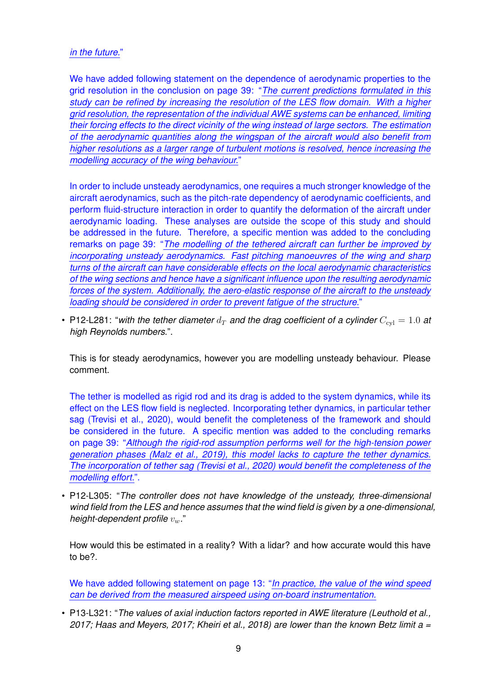## *in the future.*"

We have added following statement on the dependence of aerodynamic properties to the grid resolution in the conclusion on page 39: "*The current predictions formulated in this study can be refined by increasing the resolution of the LES flow domain. With a higher grid resolution, the representation of the individual AWE systems can be enhanced, limiting their forcing effects to the direct vicinity of the wing instead of large sectors. The estimation of the aerodynamic quantities along the wingspan of the aircraft would also benefit from higher resolutions as a larger range of turbulent motions is resolved, hence increasing the modelling accuracy of the wing behaviour.*"

In order to include unsteady aerodynamics, one requires a much stronger knowledge of the aircraft aerodynamics, such as the pitch-rate dependency of aerodynamic coefficients, and perform fluid-structure interaction in order to quantify the deformation of the aircraft under aerodynamic loading. These analyses are outside the scope of this study and should be addressed in the future. Therefore, a specific mention was added to the concluding remarks on page 39: "*The modelling of the tethered aircraft can further be improved by incorporating unsteady aerodynamics. Fast pitching manoeuvres of the wing and sharp turns of the aircraft can have considerable effects on the local aerodynamic characteristics of the wing sections and hence have a significant influence upon the resulting aerodynamic forces of the system. Additionally, the aero-elastic response of the aircraft to the unsteady loading should be considered in order to prevent fatigue of the structure.*"

• P12-L281: "with the tether diameter  $d_T$  and the drag coefficient of a cylinder  $C_{\text{cyl}} = 1.0$  at *high Reynolds numbers.*".

This is for steady aerodynamics, however you are modelling unsteady behaviour. Please comment.

The tether is modelled as rigid rod and its drag is added to the system dynamics, while its effect on the LES flow field is neglected. Incorporating tether dynamics, in particular tether sag (Trevisi et al., 2020), would benefit the completeness of the framework and should be considered in the future. A specific mention was added to the concluding remarks on page 39: "*Although the rigid-rod assumption performs well for the high-tension power generation phases (Malz et al., 2019), this model lacks to capture the tether dynamics. The incorporation of tether sag (Trevisi et al., 2020) would benefit the completeness of the modelling effort.*".

• P12-L305: "*The controller does not have knowledge of the unsteady, three-dimensional wind field from the LES and hence assumes that the wind field is given by a one-dimensional, height-dependent profile*  $v_w$ ."

How would this be estimated in a reality? With a lidar? and how accurate would this have to be?.

We have added following statement on page 13: "*In practice, the value of the wind speed can be derived from the measured airspeed using on-board instrumentation.*

• P13-L321: "*The values of axial induction factors reported in AWE literature (Leuthold et al., 2017; Haas and Meyers, 2017; Kheiri et al., 2018) are lower than the known Betz limit a =*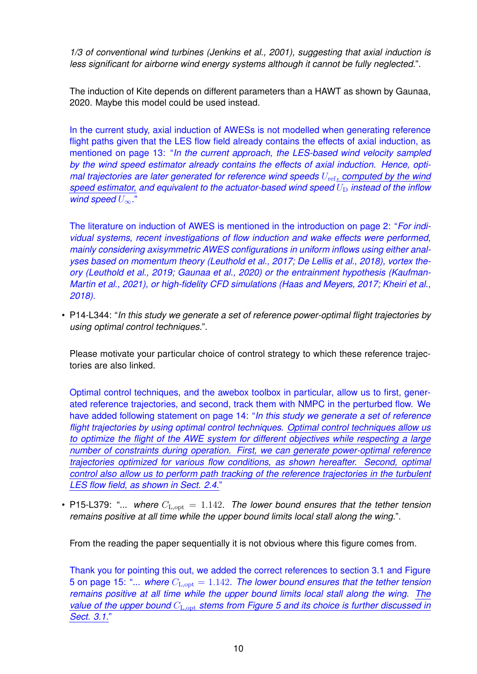*1/3 of conventional wind turbines (Jenkins et al., 2001), suggesting that axial induction is less significant for airborne wind energy systems although it cannot be fully neglected.*".

The induction of Kite depends on different parameters than a HAWT as shown by Gaunaa, 2020. Maybe this model could be used instead.

In the current study, axial induction of AWESs is not modelled when generating reference flight paths given that the LES flow field already contains the effects of axial induction, as mentioned on page 13: "*In the current approach, the LES-based wind velocity sampled by the wind speed estimator already contains the effects of axial induction. Hence, optimal trajectories are later generated for reference wind speeds*  $U_{\text{ref}}$ , *computed by the wind speed estimator, and equivalent to the actuator-based wind speed*  $U_D$  *instead of the inflow wind speed* U∞*.*"

The literature on induction of AWES is mentioned in the introduction on page 2: "*For individual systems, recent investigations of flow induction and wake effects were performed, mainly considering axisymmetric AWES configurations in uniform inflows using either analyses based on momentum theory (Leuthold et al., 2017; De Lellis et al., 2018), vortex theory (Leuthold et al., 2019; Gaunaa et al., 2020) or the entrainment hypothesis (Kaufman-Martin et al., 2021), or high-fidelity CFD simulations (Haas and Meyers, 2017; Kheiri et al., 2018).*

• P14-L344: "*In this study we generate a set of reference power-optimal flight trajectories by using optimal control techniques.*".

Please motivate your particular choice of control strategy to which these reference trajectories are also linked.

Optimal control techniques, and the awebox toolbox in particular, allow us to first, generated reference trajectories, and second, track them with NMPC in the perturbed flow. We have added following statement on page 14: "*In this study we generate a set of reference flight trajectories by using optimal control techniques. Optimal control techniques allow us to optimize the flight of the AWE system for different objectives while respecting a large number of constraints during operation. First, we can generate power-optimal reference trajectories optimized for various flow conditions, as shown hereafter. Second, optimal control also allow us to perform path tracking of the reference trajectories in the turbulent LES flow field, as shown in Sect. 2.4.*"

• P15-L379: "... where  $C_{\text{L},\text{opt}} = 1.142$ . The lower bound ensures that the tether tension *remains positive at all time while the upper bound limits local stall along the wing.*".

From the reading the paper sequentially it is not obvious where this figure comes from.

Thank you for pointing this out, we added the correct references to section 3.1 and Figure 5 on page 15: "... where  $C_{\text{L},\text{opt}} = 1.142$ . The lower bound ensures that the tether tension *remains positive at all time while the upper bound limits local stall along the wing. The value* of the *upper* bound  $C_{\text{L,out}}$  *stems from Figure* 5 and *its choice is further discussed in Sect. 3.1.*"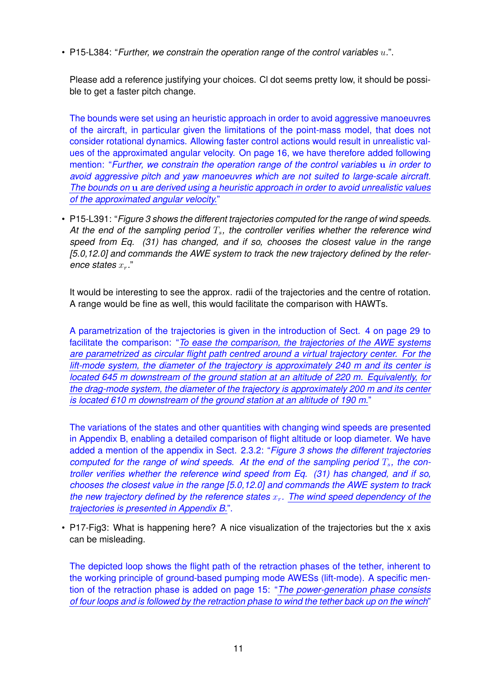• P15-L384: "*Further, we constrain the operation range of the control variables* u*.*".

Please add a reference justifying your choices. Cl dot seems pretty low, it should be possible to get a faster pitch change.

The bounds were set using an heuristic approach in order to avoid aggressive manoeuvres of the aircraft, in particular given the limitations of the point-mass model, that does not consider rotational dynamics. Allowing faster control actions would result in unrealistic values of the approximated angular velocity. On page 16, we have therefore added following mention: "*Further, we constrain the operation range of the control variables* u *in order to avoid aggressive pitch and yaw manoeuvres which are not suited to large-scale aircraft. The bounds on* u *are derived using a heuristic approach in order to avoid unrealistic values of the approximated angular velocity.*"

• P15-L391: "*Figure 3 shows the different trajectories computed for the range of wind speeds.* At the end of the sampling period  $T_s$ , the controller verifies whether the reference wind *speed from Eq. (31) has changed, and if so, chooses the closest value in the range [5.0,12.0] and commands the AWE system to track the new trajectory defined by the reference states*  $x_r$ ."

It would be interesting to see the approx. radii of the trajectories and the centre of rotation. A range would be fine as well, this would facilitate the comparison with HAWTs.

A parametrization of the trajectories is given in the introduction of Sect. 4 on page 29 to facilitate the comparison: "*To ease the comparison, the trajectories of the AWE systems are parametrized as circular flight path centred around a virtual trajectory center. For the lift-mode system, the diameter of the trajectory is approximately 240 m and its center is located 645 m downstream of the ground station at an altitude of 220 m. Equivalently, for the drag-mode system, the diameter of the trajectory is approximately 200 m and its center is located 610 m downstream of the ground station at an altitude of 190 m.*"

The variations of the states and other quantities with changing wind speeds are presented in Appendix B, enabling a detailed comparison of flight altitude or loop diameter. We have added a mention of the appendix in Sect. 2.3.2: "*Figure 3 shows the different trajectories computed for the range of wind speeds. At the end of the sampling period*  $T_s$ , the con*troller verifies whether the reference wind speed from Eq. (31) has changed, and if so, chooses the closest value in the range [5.0,12.0] and commands the AWE system to track the new trajectory defined by the reference states*  $x_r$ . The wind speed *dependency* of the *trajectories is presented in Appendix B.*".

• P17-Fig3: What is happening here? A nice visualization of the trajectories but the x axis can be misleading.

The depicted loop shows the flight path of the retraction phases of the tether, inherent to the working principle of ground-based pumping mode AWESs (lift-mode). A specific mention of the retraction phase is added on page 15: "*The power-generation phase consists* of four loops and is followed by the retraction phase to wind the tether back up on the winch"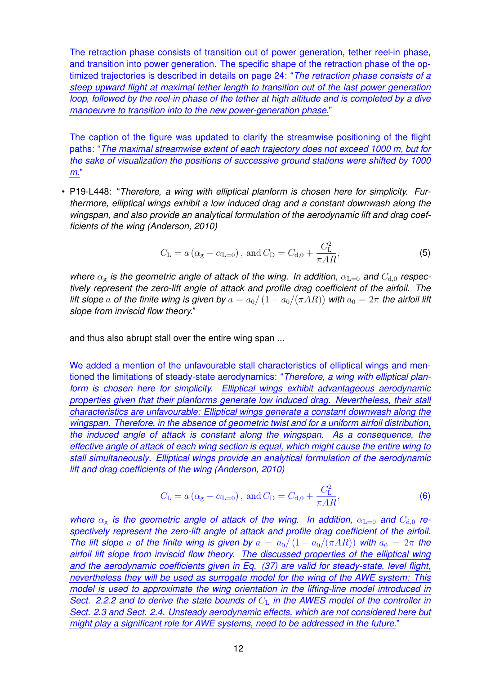The retraction phase consists of transition out of power generation, tether reel-in phase, and transition into power generation. The specific shape of the retraction phase of the optimized trajectories is described in details on page 24: "*The retraction phase consists of a steep upward flight at maximal tether length to transition out of the last power generation loop, followed by the reel-in phase of the tether at high altitude and is completed by a dive manoeuvre to transition into to the new power-generation phase.*"

The caption of the figure was updated to clarify the streamwise positioning of the flight paths: "*The maximal streamwise extent of each trajectory does not exceed 1000 m, but for the sake of visualization the positions of successive ground stations were shifted by 1000 m.*"

• P19-L448: "*Therefore, a wing with elliptical planform is chosen here for simplicity. Furthermore, elliptical wings exhibit a low induced drag and a constant downwash along the wingspan, and also provide an analytical formulation of the aerodynamic lift and drag coefficients of the wing (Anderson, 2010)*

$$
C_{\rm L} = a \left( \alpha_{\rm g} - \alpha_{\rm L=0} \right)
$$
, and  $C_{\rm D} = C_{\rm d,0} + \frac{C_{\rm L}^2}{\pi AR}$ , (5)

*where*  $\alpha_{\rm g}$  *is the geometric angle of attack of the wing. In addition,*  $\alpha_{\rm L=0}$  *and*  $C_{\rm d,0}$  *respectively represent the zero-lift angle of attack and profile drag coefficient of the airfoil. The lift slope* a *of the finite wing is given by*  $a = a_0/(1 - a_0/(\pi AR))$  with  $a_0 = 2\pi$  the airfoil lift *slope from inviscid flow theory.*"

and thus also abrupt stall over the entire wing span ...

We added a mention of the unfavourable stall characteristics of elliptical wings and mentioned the limitations of steady-state aerodynamics: "*Therefore, a wing with elliptical planform is chosen here for simplicity. Elliptical wings exhibit advantageous aerodynamic properties given that their planforms generate low induced drag. Nevertheless, their stall characteristics are unfavourable: Elliptical wings generate a constant downwash along the wingspan. Therefore, in the absence of geometric twist and for a uniform airfoil distribution, the induced angle of attack is constant along the wingspan. As a consequence, the effective angle of attack of each wing section is equal, which might cause the entire wing to stall simultaneously. Elliptical wings provide an analytical formulation of the aerodynamic lift and drag coefficients of the wing (Anderson, 2010)*

$$
C_{\rm L} = a (\alpha_{\rm g} - \alpha_{\rm L=0}), \text{ and } C_{\rm D} = C_{\rm d,0} + \frac{C_{\rm L}^2}{\pi AR},
$$
 (6)

*where*  $\alpha_{\rm g}$  *is the geometric angle of attack of the wing. In addition,*  $\alpha_{\rm L=0}$  *and*  $C_{\rm d,0}$  *respectively represent the zero-lift angle of attack and profile drag coefficient of the airfoil. The lift slope* a *of the finite wing is given by*  $a = a_0/(1 - a_0/(\pi AR))$  *with*  $a_0 = 2\pi$  *the airfoil lift slope from inviscid flow theory. The discussed properties of the elliptical wing and the aerodynamic coefficients given in Eq. (37) are valid for steady-state, level flight, nevertheless they will be used as surrogate model for the wing of the AWE system: This model is used to approximate the wing orientation in the lifting-line model introduced in Sect. 2.2.2 and to derive the state bounds of* C<sup>L</sup> *in the AWES model of the controller in Sect. 2.3 and Sect. 2.4. Unsteady aerodynamic effects, which are not considered here but might play a significant role for AWE systems, need to be addressed in the future.*"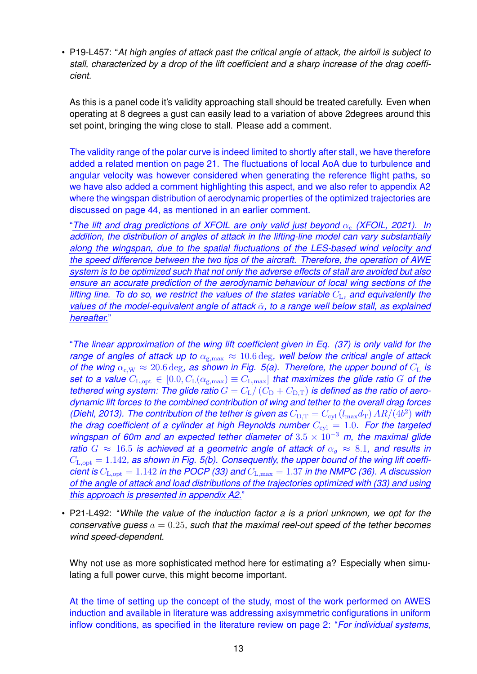• P19-L457: "*At high angles of attack past the critical angle of attack, the airfoil is subject to stall, characterized by a drop of the lift coefficient and a sharp increase of the drag coefficient.*

As this is a panel code it's validity approaching stall should be treated carefully. Even when operating at 8 degrees a gust can easily lead to a variation of above 2degrees around this set point, bringing the wing close to stall. Please add a comment.

The validity range of the polar curve is indeed limited to shortly after stall, we have therefore added a related mention on page 21. The fluctuations of local AoA due to turbulence and angular velocity was however considered when generating the reference flight paths, so we have also added a comment highlighting this aspect, and we also refer to appendix A2 where the wingspan distribution of aerodynamic properties of the optimized trajectories are discussed on page 44, as mentioned in an earlier comment.

"*The lift and drag predictions of XFOIL are only valid just beyond* α<sup>c</sup> *(XFOIL, 2021). In addition, the distribution of angles of attack in the lifting-line model can vary substantially along the wingspan, due to the spatial fluctuations of the LES-based wind velocity and the speed difference between the two tips of the aircraft. Therefore, the operation of AWE system is to be optimized such that not only the adverse effects of stall are avoided but also ensure an accurate prediction of the aerodynamic behaviour of local wing sections of the lifting line. To do so, we restrict the values of the states variable* CL*, and equivalently the values of the model-equivalent angle of attack* α˜*, to a range well below stall, as explained hereafter.*"

"*The linear approximation of the wing lift coefficient given in Eq. (37) is only valid for the range of angles of attack up to*  $\alpha_{g,\text{max}} \approx 10.6 \text{ deg}$ , well below the critical angle of attack *of the wing*  $\alpha_{c,W} \approx 20.6 \text{ deg}$ , as shown in Fig. 5(a). Therefore, the upper bound of  $C_{L}$  is *set to a value*  $C_{\text{L},\text{opt}} \in [0.0, C_{\text{L}}(\alpha_{\text{g,max}})] \equiv C_{\text{L},\text{max}}$  *that maximizes the glide ratio* G *of the tethered wing system: The glide ratio*  $G = C_{\rm L}/(\tilde{C}_{\rm D} + C_{\rm D,T})$  *is defined as the ratio of aerodynamic lift forces to the combined contribution of wing and tether to the overall drag forces (Diehl, 2013). The contribution of the tether is given as*  $C_{\text{D,T}} = C_{\text{cyl}} \left( l_{\text{max}} d_{\text{T}} \right) A R / (4b^2)$  with *the drag coefficient of a cylinder at high Reynolds number*  $C_{\text{cyl}} = 1.0$ *. For the targeted wingspan of 60m and an expected tether diameter of*  $3.5 \times 10^{-3}$  *m, the maximal glide ratio*  $G \approx 16.5$  *is achieved at a geometric angle of attack of*  $\alpha_q \approx 8.1$ *, and results in*  $C_{\text{L,out}} = 1.142$ , as shown in Fig. 5(b). Consequently, the upper bound of the wing lift coeffi*cient is*  $C_{\text{L},\text{opt}} = 1.142$  *in the POCP (33) and*  $C_{\text{L},\text{max}} = 1.37$  *in the NMPC (36).* A discussion *of the angle of attack and load distributions of the trajectories optimized with (33) and using this approach is presented in appendix A2.*"

• P21-L492: "*While the value of the induction factor a is a priori unknown, we opt for the conservative guess*  $a = 0.25$ , such that the maximal reel-out speed of the tether becomes *wind speed-dependent.*

Why not use as more sophisticated method here for estimating a? Especially when simulating a full power curve, this might become important.

At the time of setting up the concept of the study, most of the work performed on AWES induction and available in literature was addressing axisymmetric configurations in uniform inflow conditions, as specified in the literature review on page 2: "*For individual systems,*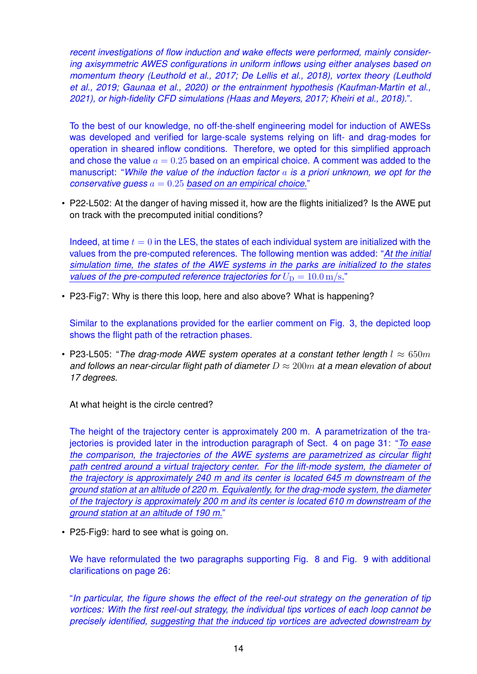*recent investigations of flow induction and wake effects were performed, mainly considering axisymmetric AWES configurations in uniform inflows using either analyses based on momentum theory (Leuthold et al., 2017; De Lellis et al., 2018), vortex theory (Leuthold et al., 2019; Gaunaa et al., 2020) or the entrainment hypothesis (Kaufman-Martin et al., 2021), or high-fidelity CFD simulations (Haas and Meyers, 2017; Kheiri et al., 2018).*".

To the best of our knowledge, no off-the-shelf engineering model for induction of AWESs was developed and verified for large-scale systems relying on lift- and drag-modes for operation in sheared inflow conditions. Therefore, we opted for this simplified approach and chose the value  $a = 0.25$  based on an empirical choice. A comment was added to the manuscript: "*While the value of the induction factor* a *is a priori unknown, we opt for the conservative guess* a = 0.25 *based on an empirical choice.*"

• P22-L502: At the danger of having missed it, how are the flights initialized? Is the AWE put on track with the precomputed initial conditions?

Indeed, at time  $t = 0$  in the LES, the states of each individual system are initialized with the values from the pre-computed references. The following mention was added: "*At the initial simulation time, the states of the AWE systems in the parks are initialized to the states values* of the pre-computed reference trajectories for  $U_D = 10.0 \text{ m/s}$ ."

• P23-Fig7: Why is there this loop, here and also above? What is happening?

Similar to the explanations provided for the earlier comment on Fig. 3, the depicted loop shows the flight path of the retraction phases.

• P23-L505: "The drag-mode AWE system operates at a constant tether length  $l \approx 650m$ *and follows an near-circular flight path of diameter* D ≈ 200m *at a mean elevation of about 17 degrees.*

At what height is the circle centred?

The height of the trajectory center is approximately 200 m. A parametrization of the trajectories is provided later in the introduction paragraph of Sect. 4 on page 31: "*To ease the comparison, the trajectories of the AWE systems are parametrized as circular flight path centred around a virtual trajectory center. For the lift-mode system, the diameter of the trajectory is approximately 240 m and its center is located 645 m downstream of the ground station at an altitude of 220 m. Equivalently, for the drag-mode system, the diameter of the trajectory is approximately 200 m and its center is located 610 m downstream of the ground station at an altitude of 190 m.*"

• P25-Fig9: hard to see what is going on.

We have reformulated the two paragraphs supporting Fig. 8 and Fig. 9 with additional clarifications on page 26:

"*In particular, the figure shows the effect of the reel-out strategy on the generation of tip vortices: With the first reel-out strategy, the individual tips vortices of each loop cannot be precisely identified, suggesting that the induced tip vortices are advected downstream by*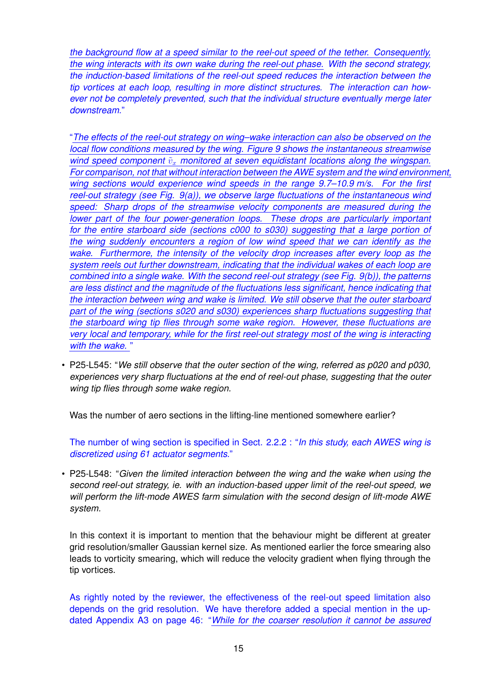*the background flow at a speed similar to the reel-out speed of the tether. Consequently, the wing interacts with its own wake during the reel-out phase. With the second strategy, the induction-based limitations of the reel-out speed reduces the interaction between the tip vortices at each loop, resulting in more distinct structures. The interaction can however not be completely prevented, such that the individual structure eventually merge later downstream.*"

"*The effects of the reel-out strategy on wing–wake interaction can also be observed on the local flow conditions measured by the wing. Figure 9 shows the instantaneous streamwise wind* speed component  $\tilde{v}_x$  monitored at seven equidistant locations along the wingspan. *For comparison, not that without interaction between the AWE system and the wind environment, wing sections would experience wind speeds in the range 9.7–10.9 m/s. For the first reel-out strategy (see Fig. 9(a)), we observe large fluctuations of the instantaneous wind speed: Sharp drops of the streamwise velocity components are measured during the lower part of the four power-generation loops. These drops are particularly important for the entire starboard side (sections c000 to s030) suggesting that a large portion of the wing suddenly encounters a region of low wind speed that we can identify as the wake. Furthermore, the intensity of the velocity drop increases after every loop as the system reels out further downstream, indicating that the individual wakes of each loop are combined into a single wake. With the second reel-out strategy (see Fig. 9(b)), the patterns are less distinct and the magnitude of the fluctuations less significant, hence indicating that the interaction between wing and wake is limited. We still observe that the outer starboard part of the wing (sections s020 and s030) experiences sharp fluctuations suggesting that the starboard wing tip flies through some wake region. However, these fluctuations are very local and temporary, while for the first reel-out strategy most of the wing is interacting with the wake.* "

• P25-L545: "*We still observe that the outer section of the wing, referred as p020 and p030, experiences very sharp fluctuations at the end of reel-out phase, suggesting that the outer wing tip flies through some wake region.*

Was the number of aero sections in the lifting-line mentioned somewhere earlier?

The number of wing section is specified in Sect. 2.2.2 : "*In this study, each AWES wing is discretized using 61 actuator segments.*"

• P25-L548: "*Given the limited interaction between the wing and the wake when using the second reel-out strategy, ie. with an induction-based upper limit of the reel-out speed, we will perform the lift-mode AWES farm simulation with the second design of lift-mode AWE system.*

In this context it is important to mention that the behaviour might be different at greater grid resolution/smaller Gaussian kernel size. As mentioned earlier the force smearing also leads to vorticity smearing, which will reduce the velocity gradient when flying through the tip vortices.

As rightly noted by the reviewer, the effectiveness of the reel-out speed limitation also depends on the grid resolution. We have therefore added a special mention in the updated Appendix A3 on page 46: "*While for the coarser resolution it cannot be assured*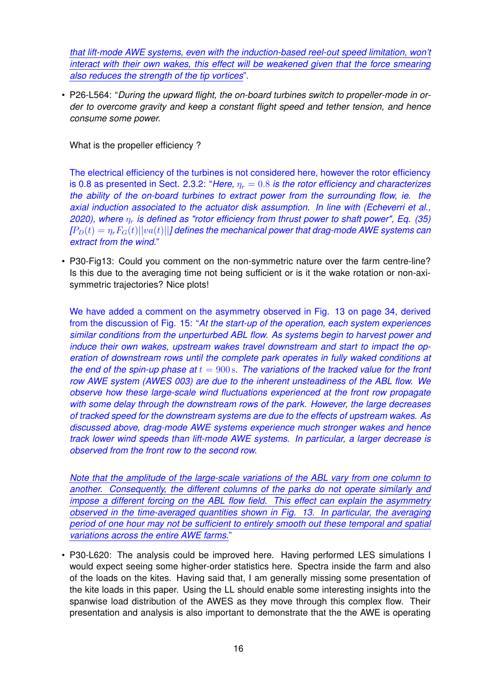*that lift-mode AWE systems, even with the induction-based reel-out speed limitation, won't interact with their own wakes, this effect will be weakened given that the force smearing also reduces the strength of the tip vortices*".

• P26-L564: "*During the upward flight, the on-board turbines switch to propeller-mode in order to overcome gravity and keep a constant flight speed and tether tension, and hence consume some power.*

What is the propeller efficiency?

The electrical efficiency of the turbines is not considered here, however the rotor efficiency is 0.8 as presented in Sect. 2.3.2: "*Here,*  $\eta_r = 0.8$  *is the rotor efficiency and characterizes the ability of the on-board turbines to extract power from the surrounding flow, ie. the axial induction associated to the actuator disk assumption. In line with (Echeverri et al., 2020), where*  $\eta_r$  *is defined as "rotor efficiency from thrust power to shaft power", Eq. (35)*  $[P_D(t) = \eta_r F_G(t) ||va(t)||$ *] defines the mechanical power that drag-mode AWE systems can extract from the wind.*"

• P30-Fig13: Could you comment on the non-symmetric nature over the farm centre-line? Is this due to the averaging time not being sufficient or is it the wake rotation or non-axisymmetric trajectories? Nice plots!

We have added a comment on the asymmetry observed in Fig. 13 on page 34, derived from the discussion of Fig. 15: "*At the start-up of the operation, each system experiences similar conditions from the unperturbed ABL flow. As systems begin to harvest power and induce their own wakes, upstream wakes travel downstream and start to impact the operation of downstream rows until the complete park operates in fully waked conditions at the end of the spin-up phase at*  $t = 900$  *s. The variations of the tracked value for the front row AWE system (AWES 003) are due to the inherent unsteadiness of the ABL flow. We observe how these large-scale wind fluctuations experienced at the front row propagate with some delay through the downstream rows of the park. However, the large decreases of tracked speed for the downstream systems are due to the effects of upstream wakes. As discussed above, drag-mode AWE systems experience much stronger wakes and hence track lower wind speeds than lift-mode AWE systems. In particular, a larger decrease is observed from the front row to the second row.*

*Note that the amplitude of the large-scale variations of the ABL vary from one column to another. Consequently, the different columns of the parks do not operate similarly and impose a different forcing on the ABL flow field. This effect can explain the asymmetry observed in the time-averaged quantities shown in Fig. 13. In particular, the averaging period of one hour may not be sufficient to entirely smooth out these temporal and spatial variations across the entire AWE farms.*"

• P30-L620: The analysis could be improved here. Having performed LES simulations I would expect seeing some higher-order statistics here. Spectra inside the farm and also of the loads on the kites. Having said that, I am generally missing some presentation of the kite loads in this paper. Using the LL should enable some interesting insights into the spanwise load distribution of the AWES as they move through this complex flow. Their presentation and analysis is also important to demonstrate that the the AWE is operating